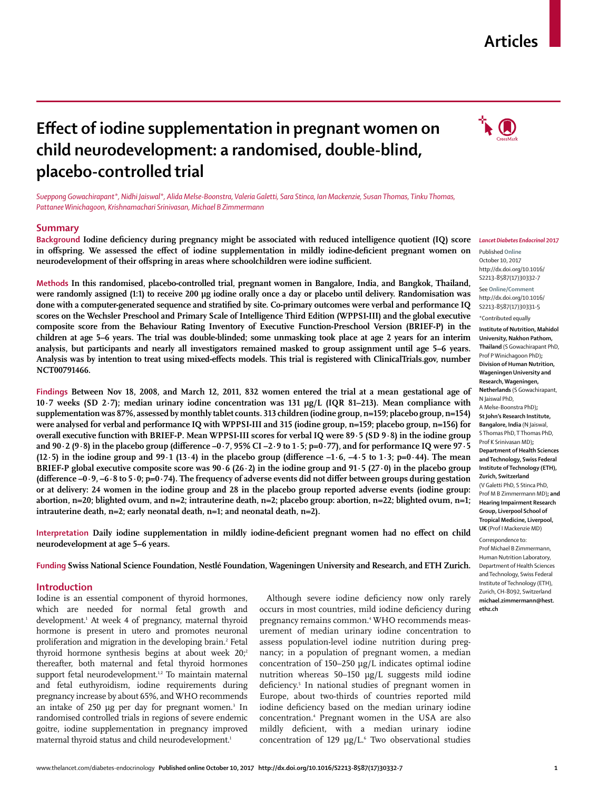# **Articles**

# **Effect of iodine supplementation in pregnant women on child neurodevelopment: a randomised, double-blind, placebo-controlled trial**

*Sueppong Gowachirapant\*, Nidhi Jaiswal\*, Alida Melse-Boonstra, Valeria Galetti, Sara Stinca, Ian Mackenzie, Susan Thomas, Tinku Thomas, Pattanee Winichagoon, Krishnamachari Srinivasan, Michael B Zimmermann*

#### **Summary**

**Background Iodine deficiency during pregnancy might be associated with reduced intelligence quotient (IQ) score in offspring. We assessed the effect of iodine supplementation in mildly iodine-deficient pregnant women on neurodevelopment of their offspring in areas where schoolchildren were iodine sufficient.**

**Methods In this randomised, placebo-controlled trial, pregnant women in Bangalore, India, and Bangkok, Thailand,**  were randomly assigned (1:1) to receive 200 µg iodine orally once a day or placebo until delivery. Randomisation was **done with a computer-generated sequence and stratified by site. Co-primary outcomes were verbal and performance IQ scores on the Wechsler Preschool and Primary Scale of Intelligence Third Edition (WPPSI-III) and the global executive composite score from the Behaviour Rating Inventory of Executive Function-Preschool Version (BRIEF-P) in the children at age 5–6 years. The trial was double-blinded; some unmasking took place at age 2 years for an interim analysis, but participants and nearly all investigators remained masked to group assignment until age 5–6 years. Analysis was by intention to treat using mixed-effects models. This trial is registered with ClinicalTrials.gov, number NCT00791466.**

**Findings Between Nov 18, 2008, and March 12, 2011, 832 women entered the trial at a mean gestational age of 10·7 weeks (SD 2·7); median urinary iodine concentration was 131 µg/L (IQR 81–213). Mean compliance with supplementation was 87%, assessed by monthly tablet counts. 313 children (iodine group, n=159; placebo group, n=154) were analysed for verbal and performance IQ with WPPSI-III and 315 (iodine group, n=159; placebo group, n=156) for overall executive function with BRIEF-P. Mean WPPSI-III scores for verbal IQ were 89·5 (SD 9·8) in the iodine group and 90·2 (9·8) in the placebo group (difference –0·7, 95% CI –2·9 to 1·5; p=0·77), and for performance IQ were 97·5 (12·5) in the iodine group and 99·1 (13·4) in the placebo group (difference –1·6, –4·5 to 1·3; p=0·44). The mean BRIEF-P global executive composite score was 90·6 (26·2) in the iodine group and 91·5 (27·0) in the placebo group (difference –0·9, –6·8 to 5·0; p=0·74). The frequency of adverse events did not differ between groups during gestation or at delivery: 24 women in the iodine group and 28 in the placebo group reported adverse events (iodine group: abortion, n=20; blighted ovum, and n=2; intrauterine death, n=2; placebo group: abortion, n=22; blighted ovum, n=1; intrauterine death, n=2; early neonatal death, n=1; and neonatal death, n=2).**

**Interpretation Daily iodine supplementation in mildly iodine-deficient pregnant women had no effect on child neurodevelopment at age 5–6 years.**

**Funding Swiss National Science Foundation, Nestlé Foundation, Wageningen University and Research, and ETH Zurich.**

#### **Introduction**

Iodine is an essential component of thyroid hormones, which are needed for normal fetal growth and development.1 At week 4 of pregnancy, maternal thyroid hormone is present in utero and promotes neuronal proliferation and migration in the developing brain.<sup>2</sup> Fetal thyroid hormone synthesis begins at about week  $20$ ; thereafter, both maternal and fetal thyroid hormones support fetal neurodevelopment.<sup>1,2</sup> To maintain maternal and fetal euthyroidism, iodine requirements during pregnancy increase by about 65%, and WHO recommends an intake of 250 µg per day for pregnant women.<sup>3</sup> In randomised controlled trials in regions of severe endemic goitre, iodine supplementation in pregnancy improved maternal thyroid status and child neurodevelopment.<sup>1</sup>

Although severe iodine deficiency now only rarely occurs in most countries, mild iodine deficiency during pregnancy remains common.<sup>4</sup> WHO recommends measurement of median urinary iodine concentration to assess population-level iodine nutrition during pregnancy; in a population of pregnant women, a median concentration of 150–250 µg/L indicates optimal iodine nutrition whereas 50–150 μg/L suggests mild iodine deficiency.<sup>5</sup> In national studies of pregnant women in Europe, about two-thirds of countries reported mild iodine deficiency based on the median urinary iodine concentration.4 Pregnant women in the USA are also mildly deficient, with a median urinary iodine concentration of  $129 \mu g/L$ <sup>6</sup> Two observational studies



#### *Lancet Diabetes Endocrinol* **2017**

Published **Online** October 10, 2017 http://dx.doi.org/10.1016/ S2213-8587(17)30332-7

See **Online/Comment** http://dx.doi.org/10.1016/ S2213-8587(17)30331-5

\*Contributed equally

**Institute of Nutrition, Mahidol University, Nakhon Pathom, Thailand** (S Gowachirapant PhD, Prof P Winichagoon PhD)**; Division of Human Nutrition, Wageningen University and Research, Wageningen, Netherlands** (S Gowachirapant, N Jaiswal PhD, A Melse-Boonstra PhD)**;** 

**St John's Research Institute, Bangalore, India** (N Jaiswal, S Thomas PhD, T Thomas PhD, Prof K Srinivasan MD)**; Department of Health Sciences and Technology, Swiss Federal Institute of Technology (ETH), Zurich, Switzerland**  (V Galetti PhD, S Stinca PhD, Prof M B Zimmermann MD)**; and Hearing Impairment Research Group, Liverpool School of Tropical Medicine, Liverpool, UK** (Prof I Mackenzie MD)

Correspondence to: Prof Michael B Zimmermann, Human Nutrition Laboratory, Department of Health Sciences and Technology, Swiss Federal Institute of Technology (ETH), Zurich, CH-8092, Switzerland **michael.zimmermann@hest. ethz.ch**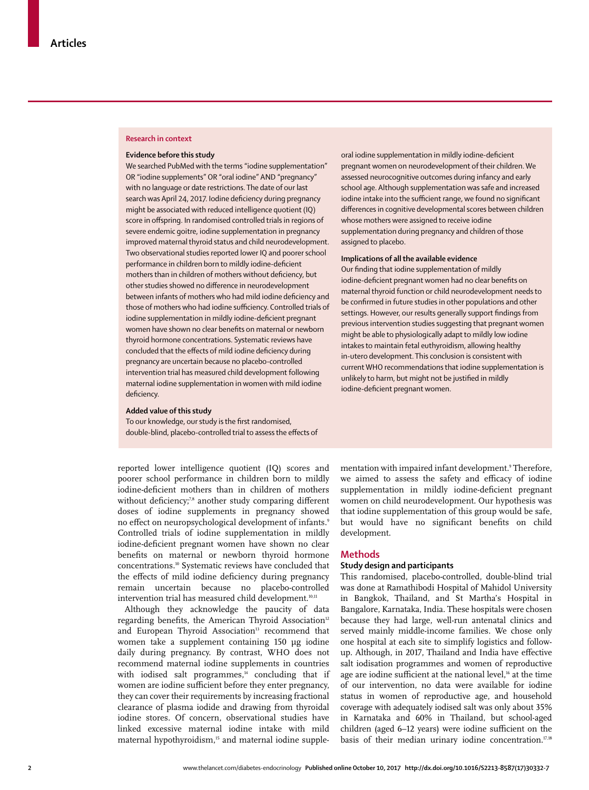#### **Research in context**

#### **Evidence before this study**

We searched PubMed with the terms "iodine supplementation" OR "iodine supplements" OR "oral iodine" AND "pregnancy" with no language or date restrictions. The date of our last search was April 24, 2017. Iodine deficiency during pregnancy might be associated with reduced intelligence quotient (IQ) score in offspring. In randomised controlled trials in regions of severe endemic goitre, iodine supplementation in pregnancy improved maternal thyroid status and child neurodevelopment. Two observational studies reported lower IQ and poorer school performance in children born to mildly iodine-deficient mothers than in children of mothers without deficiency, but other studies showed no difference in neurodevelopment between infants of mothers who had mild iodine deficiency and those of mothers who had iodine sufficiency. Controlled trials of iodine supplementation in mildly iodine-deficient pregnant women have shown no clear benefits on maternal or newborn thyroid hormone concentrations. Systematic reviews have concluded that the effects of mild iodine deficiency during pregnancy are uncertain because no placebo-controlled intervention trial has measured child development following maternal iodine supplementation in women with mild iodine deficiency.

### **Added value of this study**

To our knowledge, our study is the first randomised, double-blind, placebo-controlled trial to assess the effects of

reported lower intelligence quotient (IQ) scores and poorer school performance in children born to mildly iodine-deficient mothers than in children of mothers without deficiency;<sup>7,8</sup> another study comparing different doses of iodine supplements in pregnancy showed no effect on neuropsychological development of infants.<sup>9</sup> Controlled trials of iodine supplementation in mildly iodine-deficient pregnant women have shown no clear benefits on maternal or newborn thyroid hormone concentrations.10 Systematic reviews have concluded that the effects of mild iodine deficiency during pregnancy remain uncertain because no placebo-controlled intervention trial has measured child development.<sup>10,11</sup>

Although they acknowledge the paucity of data regarding benefits, the American Thyroid Association<sup>12</sup> and European Thyroid Association<sup>13</sup> recommend that women take a supplement containing 150 µg iodine daily during pregnancy. By contrast, WHO does not recommend maternal iodine supplements in countries with iodised salt programmes,<sup>14</sup> concluding that if women are iodine sufficient before they enter pregnancy, they can cover their requirements by increasing fractional clearance of plasma iodide and drawing from thyroidal iodine stores. Of concern, observational studies have linked excessive maternal iodine intake with mild maternal hypothyroidism,<sup>15</sup> and maternal iodine suppleoral iodine supplementation in mildly iodine-deficient pregnant women on neurodevelopment of their children. We assessed neurocognitive outcomes during infancy and early school age. Although supplementation was safe and increased iodine intake into the sufficient range, we found no significant differences in cognitive developmental scores between children whose mothers were assigned to receive iodine supplementation during pregnancy and children of those assigned to placebo.

#### **Implications of all the available evidence**

Our finding that iodine supplementation of mildly iodine-deficient pregnant women had no clear benefits on maternal thyroid function or child neurodevelopment needs to be confirmed in future studies in other populations and other settings. However, our results generally support findings from previous intervention studies suggesting that pregnant women might be able to physiologically adapt to mildly low iodine intakes to maintain fetal euthyroidism, allowing healthy in-utero development. This conclusion is consistent with current WHO recommendations that iodine supplementation is unlikely to harm, but might not be justified in mildly iodine-deficient pregnant women.

mentation with impaired infant development.<sup>9</sup> Therefore, we aimed to assess the safety and efficacy of iodine supplementation in mildly iodine-deficient pregnant women on child neurodevelopment. Our hypothesis was that iodine supplementation of this group would be safe, but would have no significant benefits on child development.

#### **Methods**

# **Study design and participants**

This randomised, placebo-controlled, double-blind trial was done at Ramathibodi Hospital of Mahidol University in Bangkok, Thailand, and St Martha's Hospital in Bangalore, Karnataka, India. These hospitals were chosen because they had large, well-run antenatal clinics and served mainly middle-income families. We chose only one hospital at each site to simplify logistics and followup. Although, in 2017, Thailand and India have effective salt iodisation programmes and women of reproductive age are iodine sufficient at the national level,<sup>16</sup> at the time of our intervention, no data were available for iodine status in women of reproductive age, and household coverage with adequately iodised salt was only about 35% in Karnataka and 60% in Thailand, but school-aged children (aged 6–12 years) were iodine sufficient on the basis of their median urinary iodine concentration.<sup>17,18</sup>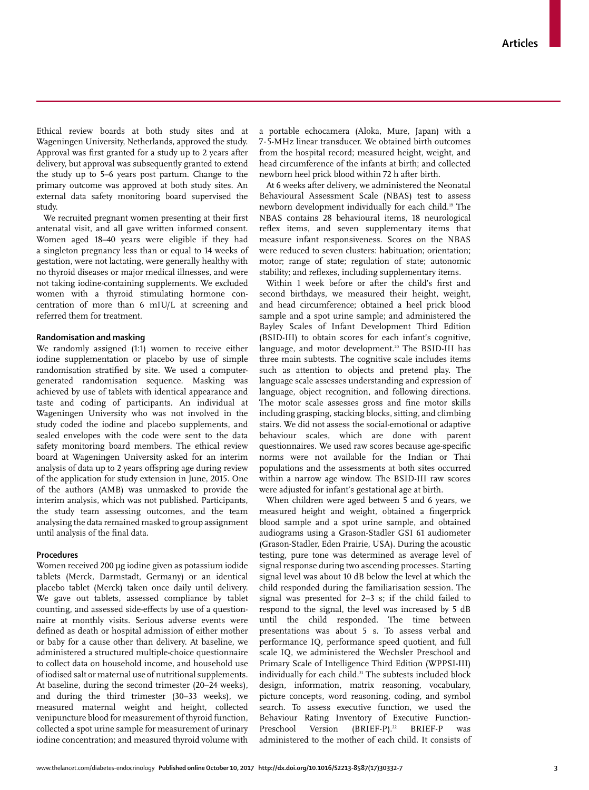Ethical review boards at both study sites and at Wageningen University, Netherlands, approved the study. Approval was first granted for a study up to 2 years after delivery, but approval was subsequently granted to extend the study up to 5–6 years post partum. Change to the primary outcome was approved at both study sites. An external data safety monitoring board supervised the study.

We recruited pregnant women presenting at their first antenatal visit, and all gave written informed consent. Women aged 18–40 years were eligible if they had a singleton pregnancy less than or equal to 14 weeks of gestation, were not lactating, were generally healthy with no thyroid diseases or major medical illnesses, and were not taking iodine-containing supplements. We excluded women with a thyroid stimulating hormone concentration of more than 6 mIU/L at screening and referred them for treatment.

# **Randomisation and masking**

We randomly assigned (1:1) women to receive either iodine supplementation or placebo by use of simple randomisation stratified by site. We used a computergenerated randomisation sequence. Masking was achieved by use of tablets with identical appearance and taste and coding of participants. An individual at Wageningen University who was not involved in the study coded the iodine and placebo supplements, and sealed envelopes with the code were sent to the data safety monitoring board members. The ethical review board at Wageningen University asked for an interim analysis of data up to 2 years offspring age during review of the application for study extension in June, 2015. One of the authors (AMB) was unmasked to provide the interim analysis, which was not published. Participants, the study team assessing outcomes, and the team analysing the data remained masked to group assignment until analysis of the final data.

#### **Procedures**

Women received 200 µg iodine given as potassium iodide tablets (Merck, Darmstadt, Germany) or an identical placebo tablet (Merck) taken once daily until delivery. We gave out tablets, assessed compliance by tablet counting, and assessed side-effects by use of a questionnaire at monthly visits. Serious adverse events were defined as death or hospital admission of either mother or baby for a cause other than delivery. At baseline, we administered a structured multiple-choice questionnaire to collect data on household income, and household use of iodised salt or maternal use of nutritional supplements. At baseline, during the second trimester (20–24 weeks), and during the third trimester (30–33 weeks), we measured maternal weight and height, collected venipuncture blood for measurement of thyroid function, collected a spot urine sample for measurement of urinary iodine concentration; and measured thyroid volume with a portable echocamera (Aloka, Mure, Japan) with a 7·5-MHz linear transducer. We obtained birth outcomes from the hospital record; measured height, weight, and head circumference of the infants at birth; and collected newborn heel prick blood within 72 h after birth.

At 6 weeks after delivery, we administered the Neonatal Behavioural Assessment Scale (NBAS) test to assess newborn development individually for each child.19 The NBAS contains 28 behavioural items, 18 neurological reflex items, and seven supplementary items that measure infant responsiveness. Scores on the NBAS were reduced to seven clusters: habituation; orientation; motor; range of state; regulation of state; autonomic stability; and reflexes, including supplementary items.

Within 1 week before or after the child's first and second birthdays, we measured their height, weight, and head circumference; obtained a heel prick blood sample and a spot urine sample; and administered the Bayley Scales of Infant Development Third Edition (BSID-III) to obtain scores for each infant's cognitive, language, and motor development.<sup>20</sup> The BSID-III has three main subtests. The cognitive scale includes items such as attention to objects and pretend play. The language scale assesses understanding and expression of language, object recognition, and following directions. The motor scale assesses gross and fine motor skills including grasping, stacking blocks, sitting, and climbing stairs. We did not assess the social-emotional or adaptive behaviour scales, which are done with parent questionnaires. We used raw scores because age-specific norms were not available for the Indian or Thai populations and the assessments at both sites occurred within a narrow age window. The BSID-III raw scores were adjusted for infant's gestational age at birth.

When children were aged between 5 and 6 years, we measured height and weight, obtained a fingerprick blood sample and a spot urine sample, and obtained audiograms using a Grason-Stadler GSI 61 audiometer (Grason-Stadler, Eden Prairie, USA). During the acoustic testing, pure tone was determined as average level of signal response during two ascending processes. Starting signal level was about 10 dB below the level at which the child responded during the familiarisation session. The signal was presented for 2–3 s; if the child failed to respond to the signal, the level was increased by 5 dB until the child responded. The time between presentations was about 5 s. To assess verbal and performance IQ, performance speed quotient, and full scale IQ, we administered the Wechsler Preschool and Primary Scale of Intelligence Third Edition (WPPSI-III) individually for each child.<sup>21</sup> The subtests included block design, information, matrix reasoning, vocabulary, picture concepts, word reasoning, coding, and symbol search. To assess executive function, we used the Behaviour Rating Inventory of Executive Function-Preschool Version (BRIEF-P).<sup>22</sup> BRIEF-P was administered to the mother of each child. It consists of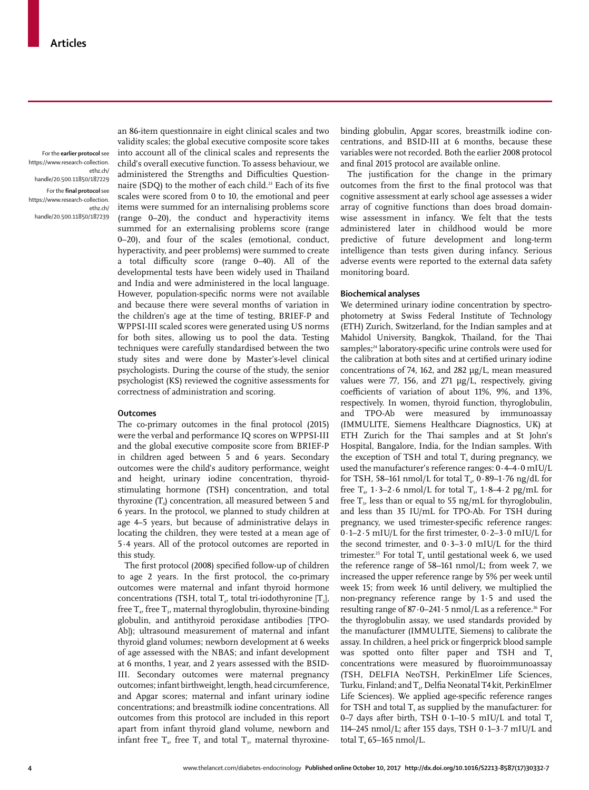For the **earlier protocol** see https://www.research-collection. ethz.ch/ handle/20.500.11850/187229 For the **final protocol** see

https://www.research-collection. ethz.ch/ handle/20.500.11850/187239

an 86-item questionnaire in eight clinical scales and two validity scales; the global executive composite score takes into account all of the clinical scales and represents the child's overall executive function. To assess behaviour, we administered the Strengths and Difficulties Questionnaire (SDQ) to the mother of each child.23 Each of its five scales were scored from 0 to 10, the emotional and peer items were summed for an internalising problems score (range 0–20), the conduct and hyperactivity items summed for an externalising problems score (range 0–20), and four of the scales (emotional, conduct, hyperactivity, and peer problems) were summed to create a total difficulty score (range 0–40). All of the developmental tests have been widely used in Thailand and India and were administered in the local language. However, population-specific norms were not available and because there were several months of variation in the children's age at the time of testing, BRIEF-P and WPPSI-III scaled scores were generated using US norms for both sites, allowing us to pool the data. Testing techniques were carefully standardised between the two study sites and were done by Master's-level clinical psychologists. During the course of the study, the senior psychologist (KS) reviewed the cognitive assessments for correctness of administration and scoring.

#### **Outcomes**

The co-primary outcomes in the final protocol (2015) were the verbal and performance IQ scores on WPPSI-III and the global executive composite score from BRIEF-P in children aged between 5 and 6 years. Secondary outcomes were the child's auditory performance, weight and height, urinary iodine concentration, thyroidstimulating hormone (TSH) concentration, and total thyroxine  $(T_4)$  concentration, all measured between 5 and 6 years. In the protocol, we planned to study children at age 4–5 years, but because of administrative delays in locating the children, they were tested at a mean age of 5·4 years. All of the protocol outcomes are reported in this study.

The first protocol (2008) specified follow-up of children to age 2 years. In the first protocol, the co-primary outcomes were maternal and infant thyroid hormone concentrations (TSH, total  $T_{4}$ , total tri-iodothyronine [T<sub>3</sub>], free  $T_{4}$ , free  $T_{3}$ , maternal thyroglobulin, thyroxine-binding globulin, and antithyroid peroxidase antibodies [TPO-Ab]); ultrasound measurement of maternal and infant thyroid gland volumes; newborn development at 6 weeks of age assessed with the NBAS; and infant development at 6 months, 1 year, and 2 years assessed with the BSID-III. Secondary outcomes were maternal pregnancy outcomes; infant birthweight, length, head circumference, and Apgar scores; maternal and infant urinary iodine concentrations; and breastmilk iodine concentrations. All outcomes from this protocol are included in this report apart from infant thyroid gland volume, newborn and infant free  $T<sub>4</sub>$ , free T<sub>3</sub> and total T<sub>3</sub>, maternal thyroxinebinding globulin, Apgar scores, breastmilk iodine concentrations, and BSID-III at 6 months, because these variables were not recorded. Both the [earlier 2008 protocol](https://www.research-collection.ethz.ch/handle/20.500.11850/187229 ) and [final 2015 protocol](https://www.research-collection.ethz.ch/handle/20.500.11850/187239) are available online.

The justification for the change in the primary outcomes from the first to the final protocol was that cognitive assessment at early school age assesses a wider array of cognitive functions than does broad domainwise assessment in infancy. We felt that the tests administered later in childhood would be more predictive of future development and long-term intelligence than tests given during infancy. Serious adverse events were reported to the external data safety monitoring board.

#### **Biochemical analyses**

We determined urinary iodine concentration by spectrophotometry at Swiss Federal Institute of Technology (ETH) Zurich, Switzerland, for the Indian samples and at Mahidol University, Bangkok, Thailand, for the Thai samples;<sup>24</sup> laboratory-specific urine controls were used for the calibration at both sites and at certified urinary iodine concentrations of 74, 162, and 282 µg/L, mean measured values were 77, 156, and 271 µg/L, respectively, giving coefficients of variation of about 11%, 9%, and 13%, respectively. In women, thyroid function, thyroglobulin, and TPO-Ab were measured by immunoassay (IMMULITE, Siemens Healthcare Diagnostics, UK) at ETH Zurich for the Thai samples and at St John's Hospital, Bangalore, India, for the Indian samples. With the exception of TSH and total  $T<sub>4</sub>$  during pregnancy, we used the manufacturer's reference ranges: 0·4–4·0 mIU/L for TSH, 58–161 nmol/L for total  $T_{4}$ , 0·89–1·76 ng/dL for free  $T_{4}$ , 1·3-2·6 nmol/L for total  $T_{3}$ , 1·8-4·2 pg/mL for free  $T<sub>v</sub>$  less than or equal to 55 ng/mL for thyroglobulin, and less than 35 IU/mL for TPO-Ab. For TSH during pregnancy, we used trimester-specific reference ranges: 0·1–2·5 mIU/L for the first trimester, 0·2–3·0 mIU/L for the second trimester, and  $0.3-3.0$  mIU/L for the third trimester.<sup>25</sup> For total  $T_4$  until gestational week 6, we used the reference range of 58–161 nmol/L; from week 7, we increased the upper reference range by 5% per week until week 15; from week 16 until delivery, we multiplied the non-pregnancy reference range by 1·5 and used the resulting range of 87 $\cdot$ 0-241 $\cdot$ 5 nmol/L as a reference.<sup>26</sup> For the thyroglobulin assay, we used standards provided by the manufacturer (IMMULITE, Siemens) to calibrate the assay. In children, a heel prick or fingerprick blood sample was spotted onto filter paper and TSH and  $T<sub>4</sub>$ concentrations were measured by fluoroimmunoassay (TSH, DELFIA NeoTSH, PerkinElmer Life Sciences, Turku, Finland; and T., Delfia Neonatal T4 kit, PerkinElmer Life Sciences). We applied age-specific reference ranges for TSH and total  $T_4$  as supplied by the manufacturer: for 0–7 days after birth, TSH 0 $\cdot$ 1–10 $\cdot$ 5 mIU/L and total T<sub>4</sub> 114–245 nmol/L; after 155 days, TSH 0·1–3·7 mIU/L and total  $T<sub>4</sub>$  65–165 nmol/L.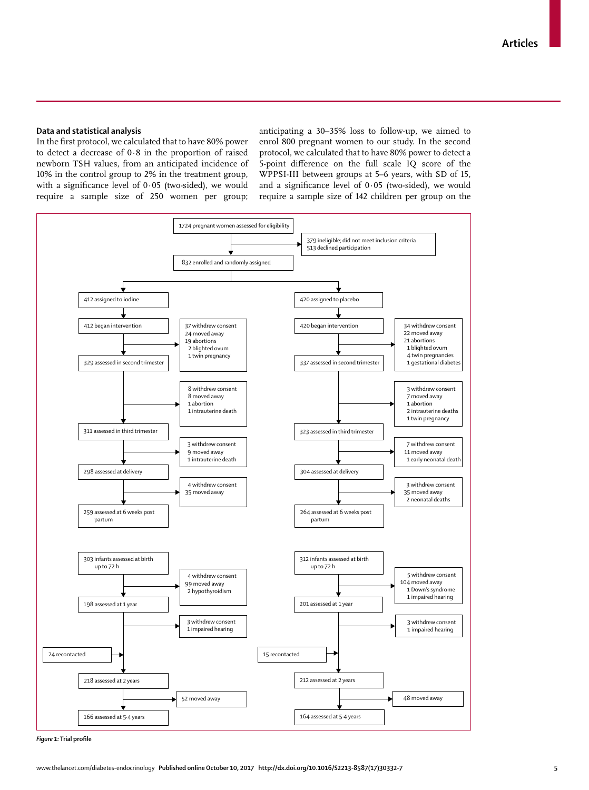#### **Data and statistical analysis**

In the first protocol, we calculated that to have 80% power to detect a decrease of 0·8 in the proportion of raised newborn TSH values, from an anticipated incidence of 10% in the control group to 2% in the treatment group, with a significance level of 0·05 (two-sided), we would require a sample size of 250 women per group; anticipating a 30–35% loss to follow-up, we aimed to enrol 800 pregnant women to our study. In the second protocol, we calculated that to have 80% power to detect a 5-point difference on the full scale IQ score of the WPPSI-III between groups at 5–6 years, with SD of 15, and a significance level of 0·05 (two-sided), we would require a sample size of 142 children per group on the



*Figure 1:* **Trial profile**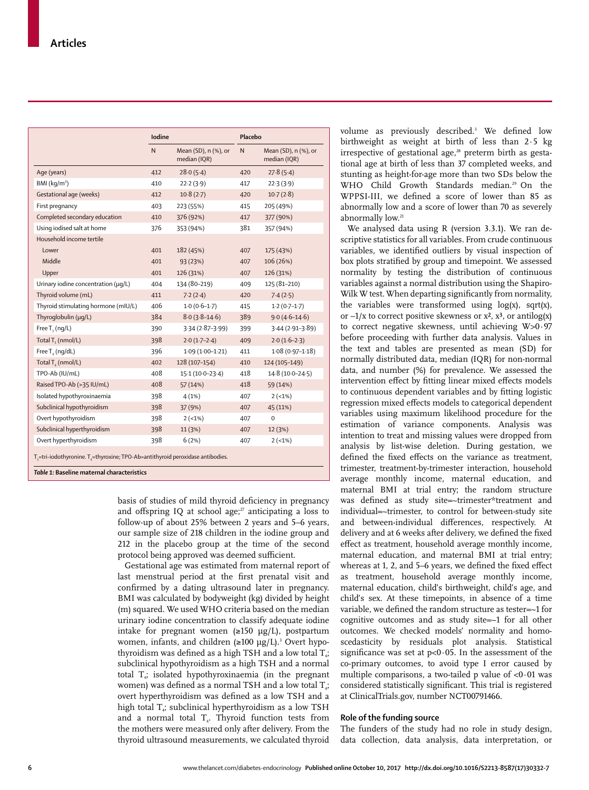|                                                                                                                               | <b>lodine</b> |                                      | Placebo |                                      |  |
|-------------------------------------------------------------------------------------------------------------------------------|---------------|--------------------------------------|---------|--------------------------------------|--|
|                                                                                                                               | N             | Mean (SD), n (%), or<br>median (IQR) | N       | Mean (SD), n (%), or<br>median (IQR) |  |
| Age (years)                                                                                                                   | 412           | 28.0(5.4)                            | 420     | 27.8(5.4)                            |  |
| BMI $(kq/m2)$                                                                                                                 | 410           | 22.2(3.9)                            | 417     | 22.3(3.9)                            |  |
| Gestational age (weeks)                                                                                                       | 412           | 10.8(2.7)                            | 420     | 10.7(2.8)                            |  |
| First pregnancy                                                                                                               | 403           | 223 (55%)                            | 415     | 205 (49%)                            |  |
| Completed secondary education                                                                                                 | 410           | 376 (92%)                            | 417     | 377 (90%)                            |  |
| Using iodised salt at home                                                                                                    | 376           | 353 (94%)                            | 381     | 357 (94%)                            |  |
| Household income tertile                                                                                                      |               |                                      |         |                                      |  |
| Lower                                                                                                                         | 401           | 182 (45%)                            | 407     | 175 (43%)                            |  |
| Middle                                                                                                                        | 401           | 93 (23%)                             | 407     | 106 (26%)                            |  |
| Upper                                                                                                                         | 401           | 126 (31%)                            | 407     | 126 (31%)                            |  |
| Urinary iodine concentration (µq/L)                                                                                           | 404           | 134 (80-219)                         | 409     | 125 (81-210)                         |  |
| Thyroid volume (mL)                                                                                                           | 411           | 7.2(2.4)                             | 420     | 7.4(2.5)                             |  |
| Thyroid stimulating hormone (mIU/L)                                                                                           | 406           | $1.0(0.6-1.7)$                       | 415     | $1.2(0.7-1.7)$                       |  |
| Thyroglobulin (µq/L)                                                                                                          | 384           | $8.0(3.8-14.6)$                      | 389     | $9.0(4.6-14.6)$                      |  |
| Free $T_3$ (ng/L)                                                                                                             | 390           | $3.34(2.87 - 3.99)$                  | 399     | $3.44(2.91-3.89)$                    |  |
| Total T <sub>2</sub> (nmol/L)                                                                                                 | 398           | $2.0(1.7-2.4)$                       | 409     | $2.0(1.6-2.3)$                       |  |
| Free $T_{4}$ (ng/dL)                                                                                                          | 396           | $1.09(1.00-1.21)$                    | 411     | $1.08(0.97-1.18)$                    |  |
| Total $T_4$ (nmol/L)                                                                                                          | 402           | 128 (107-154)                        | 410     | 124 (105-149)                        |  |
| TPO-Ab (IU/mL)                                                                                                                | 408           | 15.1 (10.0-23.4)                     | 418     | 14.8 (10.0-24.5)                     |  |
| Raised TPO-Ab (>35 IU/mL)                                                                                                     | 408           | 57 (14%)                             | 418     | 59 (14%)                             |  |
| Isolated hypothyroxinaemia                                                                                                    | 398           | 4(1%)                                | 407     | $2(-1%)$                             |  |
| Subclinical hypothyroidism                                                                                                    | 398           | 37 (9%)                              | 407     | 45 (11%)                             |  |
| Overt hypothyroidism                                                                                                          | 398           | $2(-1%)$                             | 407     | $\mathbf 0$                          |  |
| Subclinical hyperthyroidism                                                                                                   | 398           | 11 (3%)                              | 407     | 12 (3%)                              |  |
| Overt hyperthyroidism                                                                                                         | 398           | 6(2%)                                | 407     | $2(-1%)$                             |  |
| $Ta=tri-iodothyronine. Ta=thyroxine; TPO-Ab=antithyroid peroxidase antibodies.$<br>Table 1: Baseline maternal characteristics |               |                                      |         |                                      |  |

basis of studies of mild thyroid deficiency in pregnancy and offspring IQ at school age; $27$  anticipating a loss to follow-up of about 25% between 2 years and 5–6 years, our sample size of 218 children in the iodine group and 212 in the placebo group at the time of the second protocol being approved was deemed sufficient.

Gestational age was estimated from maternal report of last menstrual period at the first prenatal visit and confirmed by a dating ultrasound later in pregnancy. BMI was calculated by bodyweight (kg) divided by height (m) squared. We used WHO criteria based on the median urinary iodine concentration to classify adequate iodine intake for pregnant women  $(\geq 150 \text{ µg/L})$ , postpartum women, infants, and children (≥100 μg/L).<sup>3</sup> Overt hypothyroidism was defined as a high TSH and a low total  $T_{4}$ ; subclinical hypothyroidism as a high TSH and a normal total  $T_a$ ; isolated hypothyroxinaemia (in the pregnant women) was defined as a normal TSH and a low total  $T_{4}$ ; overt hyperthyroidism was defined as a low TSH and a high total  $T_{4}$ ; subclinical hyperthyroidism as a low TSH and a normal total  $T<sub>4</sub>$ . Thyroid function tests from the mothers were measured only after delivery. From the thyroid ultrasound measurements, we calculated thyroid

volume as previously described.3 We defined low birthweight as weight at birth of less than 2·5 kg irrespective of gestational age,<sup>28</sup> preterm birth as gestational age at birth of less than 37 completed weeks, and stunting as height-for-age more than two SDs below the WHO Child Growth Standards median.<sup>29</sup> On the WPPSI-III, we defined a score of lower than 85 as abnormally low and a score of lower than 70 as severely abnormally low.<sup>21</sup>

We analysed data using R (version 3.3.1). We ran descriptive statistics for all variables. From crude continuous variables, we identified outliers by visual inspection of box plots stratified by group and timepoint. We assessed normality by testing the distribution of continuous variables against a normal distribution using the Shapiro-Wilk W test. When departing significantly from normality, the variables were transformed using  $log(x)$ , sqrt(x), or  $-1/x$  to correct positive skewness or  $x^2$ ,  $x^3$ , or antilog(x) to correct negative skewness, until achieving W>0·97 before proceeding with further data analysis. Values in the text and tables are presented as mean (SD) for normally distributed data, median (IQR) for non-normal data, and number (%) for prevalence. We assessed the intervention effect by fitting linear mixed effects models to continuous dependent variables and by fitting logistic regression mixed effects models to categorical dependent variables using maximum likelihood procedure for the estimation of variance components. Analysis was intention to treat and missing values were dropped from analysis by list-wise deletion. During gestation, we defined the fixed effects on the variance as treatment, trimester, treatment-by-trimester interaction, household average monthly income, maternal education, and maternal BMI at trial entry; the random structure was defined as study site=~trimester\*treatment and individual=~trimester, to control for between-study site and between-individual differences, respectively. At delivery and at 6 weeks after delivery, we defined the fixed effect as treatment, household average monthly income, maternal education, and maternal BMI at trial entry; whereas at 1, 2, and 5–6 years, we defined the fixed effect as treatment, household average monthly income, maternal education, child's birthweight, child's age, and child's sex. At these timepoints, in absence of a time variable, we defined the random structure as tester=~1 for cognitive outcomes and as study site=~1 for all other outcomes. We checked models' normality and homoscedasticity by residuals plot analysis. Statistical significance was set at  $p<0.05$ . In the assessment of the co-primary outcomes, to avoid type I error caused by multiple comparisons, a two-tailed p value of  $< 0.01$  was considered statistically significant. This trial is registered at ClinicalTrials.gov, number NCT00791466.

### **Role of the funding source**

The funders of the study had no role in study design, data collection, data analysis, data interpretation, or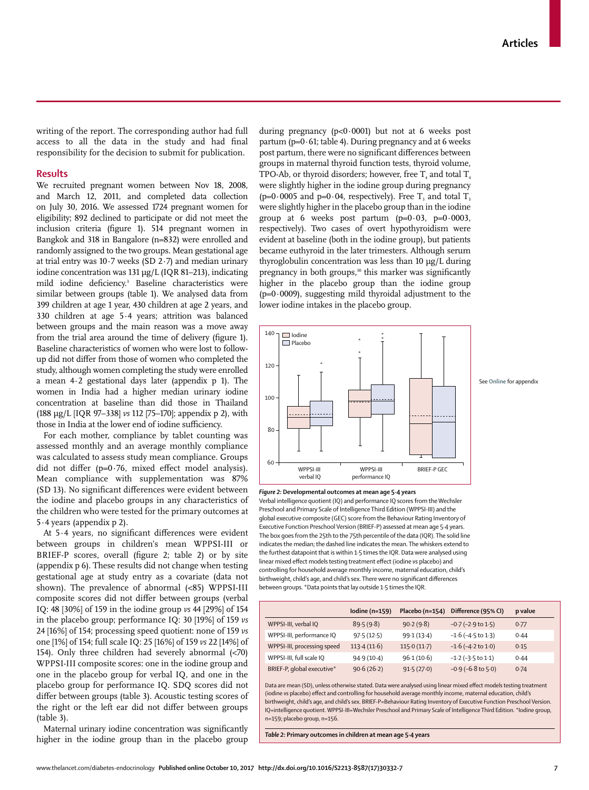writing of the report. The corresponding author had full access to all the data in the study and had final responsibility for the decision to submit for publication.

# **Results**

We recruited pregnant women between Nov 18, 2008, and March 12, 2011, and completed data collection on July 30, 2016. We assessed 1724 pregnant women for eligibility; 892 declined to participate or did not meet the inclusion criteria (figure 1). 514 pregnant women in Bangkok and 318 in Bangalore (n=832) were enrolled and randomly assigned to the two groups. Mean gestational age at trial entry was 10·7 weeks (SD 2·7) and median urinary iodine concentration was 131 µg/L (IQR 81–213), indicating mild iodine deficiency.3 Baseline characteristics were similar between groups (table 1). We analysed data from 399 children at age 1 year, 430 children at age 2 years, and 330 children at age 5·4 years; attrition was balanced between groups and the main reason was a move away from the trial area around the time of delivery (figure 1). Baseline characteristics of women who were lost to followup did not differ from those of women who completed the study, although women completing the study were enrolled a mean 4·2 gestational days later (appendix p 1). The women in India had a higher median urinary iodine concentration at baseline than did those in Thailand (188 µg/L [IQR 97–338] *vs* 112 [75–170]; appendix p 2), with those in India at the lower end of iodine sufficiency.

For each mother, compliance by tablet counting was assessed monthly and an average monthly compliance was calculated to assess study mean compliance. Groups did not differ (p=0·76, mixed effect model analysis). Mean compliance with supplementation was 87% (SD 13). No significant differences were evident between the iodine and placebo groups in any characteristics of the children who were tested for the primary outcomes at 5·4 years (appendix p 2).

At 5·4 years, no significant differences were evident between groups in children's mean WPPSI-III or BRIEF-P scores, overall (figure 2; table 2) or by site (appendix p 6). These results did not change when testing gestational age at study entry as a covariate (data not shown). The prevalence of abnormal (<85) WPPSI-III composite scores did not differ between groups (verbal IQ: 48 [30%] of 159 in the iodine group *vs* 44 [29%] of 154 in the placebo group; performance IQ: 30 [19%] of 159 *vs* 24 [16%] of 154; processing speed quotient: none of 159 *vs* one [1%] of 154; full scale IQ: 25 [16%] of 159 *vs* 22 [14%] of 154). Only three children had severely abnormal (<70) WPPSI-III composite scores: one in the iodine group and one in the placebo group for verbal IQ, and one in the placebo group for performance IQ. SDQ scores did not differ between groups (table 3). Acoustic testing scores of the right or the left ear did not differ between groups (table 3).

Maternal urinary iodine concentration was significantly higher in the iodine group than in the placebo group during pregnancy ( $p<0.0001$ ) but not at 6 weeks post partum ( $p=0.61$ ; table 4). During pregnancy and at 6 weeks post partum, there were no significant differences between groups in maternal thyroid function tests, thyroid volume, TPO-Ab, or thyroid disorders; however, free  $T_4$  and total  $T_4$ were slightly higher in the iodine group during pregnancy (p=0.0005 and p=0.04, respectively). Free  $T_3$  and total  $T_3$ were slightly higher in the placebo group than in the iodine group at 6 weeks post partum  $(p=0.03, p=0.0003,$ respectively). Two cases of overt hypothyroidism were evident at baseline (both in the iodine group), but patients became euthyroid in the later trimesters. Although serum thyroglobulin concentration was less than 10 µg/L during pregnancy in both groups,<sup>30</sup> this marker was significantly higher in the placebo group than the iodine group  $(p=0.0009)$ , suggesting mild thyroidal adjustment to the lower iodine intakes in the placebo group.





Verbal intelligence quotient (IQ) and performance IQ scores from the Wechsler Preschool and Primary Scale of Intelligence Third Edition (WPPSI-III) and the global executive composite (GEC) score from the Behaviour Rating Inventory of Executive Function Preschool Version (BRIEF-P) assessed at mean age 5·4 years. The box goes from the 25th to the 75th percentile of the data (IQR). The solid line indicates the median; the dashed line indicates the mean. The whiskers extend to the furthest datapoint that is within 1·5 times the IQR. Data were analysed using linear mixed effect models testing treatment effect (iodine *vs* placebo) and controlling for household average monthly income, maternal education, child's birthweight, child's age, and child's sex. There were no significant differences between groups. \*Data points that lay outside 1·5 times the IQR.

|                             | Iodine (n=159) | Placebo (n=154) | Difference (95% CI)        | p value |
|-----------------------------|----------------|-----------------|----------------------------|---------|
| WPPSI-III, verbal IQ        | 89.5(9.8)      | 90.2(9.8)       | $-0.7$ ( $-2.9$ to $1.5$ ) | 0.77    |
| WPPSI-III, performance IQ   | 97.5(12.5)     | 99.1(13.4)      | $-1.6$ ( $-4.5$ to 1.3)    | 0.44    |
| WPPSI-III, processing speed | 113.4(11.6)    | 115.0(11.7)     | $-1.6$ ( $-4.2$ to $1.0$ ) | 0.15    |
| WPPSI-III, full scale IQ    | 94.9(10.4)     | 96.1(10.6)      | $-1.2$ ( $-3.5$ to 1.1)    | 0.44    |
| BRIEF-P, global executive*  | 90.6(26.2)     | 91.5(27.0)      | $-0.9$ ( $-6.8$ to $5.0$ ) | 0.74    |

Data are mean (SD), unless otherwise stated. Data were analysed using linear mixed effect models testing treatment (iodine *vs* placebo) effect and controlling for household average monthly income, maternal education, child's birthweight, child's age, and child's sex. BRIEF-P=Behaviour Rating Inventory of Executive Function Preschool Version. IQ=intelligence quotient. WPPSI-III=Wechsler Preschool and Primary Scale of Intelligence Third Edition. \*Iodine group, n=159; placebo group, n=156.

*Table 2:* **Primary outcomes in children at mean age 5·4 years**

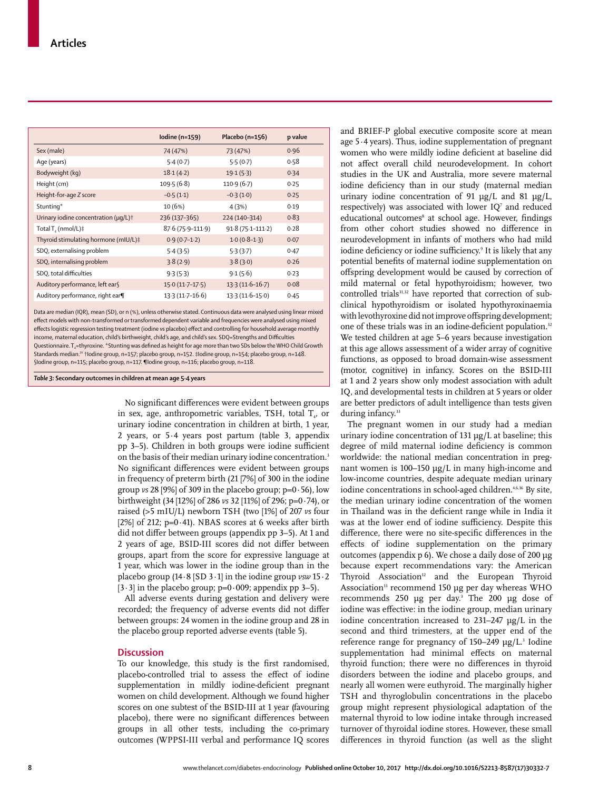|                                                       | Iodine (n=159)    | Placebo (n=156)      | p value |
|-------------------------------------------------------|-------------------|----------------------|---------|
| Sex (male)                                            | 74 (47%)          | 73 (47%)             | 0.96    |
| Age (years)                                           | 5.4(0.7)          | 5.5(0.7)             | 0.58    |
| Bodyweight (kg)                                       | 18.1(4.2)         | 19.1(5.3)            | 0.34    |
| Height (cm)                                           | 109.5(6.8)        | 110.9(6.7)           | 0.25    |
| Height-for-age Z score                                | $-0.5(1.1)$       | $-0.3(1.0)$          | 0.25    |
| Stunting*                                             | 10 (6%)           | 4(3%)                | 0.19    |
| Urinary iodine concentration $(\mu q/L)$ <sup>+</sup> | 236 (137-365)     | 224 (140-314)        | 0.83    |
| Total T <sub>4</sub> (nmol/L)‡                        | 87.6 (75.9-111.9) | $91.8(75.1 - 111.2)$ | 0.28    |
| Thyroid stimulating hormone (mIU/L)‡                  | $0.9(0.7-1.2)$    | $1.0(0.8-1.3)$       | 0.07    |
| SDQ, externalising problem                            | 5.4(3.5)          | 5.3(3.7)             | 0.47    |
| SDQ, internalising problem                            | 3.8(2.9)          | 3.8(3.0)             | 0.26    |
| SDQ, total difficulties                               | 9.3(5.3)          | 9.1(5.6)             | 0.23    |
| Auditory performance, left ear§                       | $15.0(11.7-17.5)$ | $13.3(11.6-16.7)$    | 0.08    |
| Auditory performance, right ear                       | $13.3(11.7-16.6)$ | $13.3(11.6-15.0)$    | 0.45    |

Data are median (IQR), mean (SD), or n (%), unless otherwise stated. Continuous data were analysed using linear mixed effect models with non-transformed or transformed dependent variable and frequencies were analysed using mixed effects logistic regression testing treatment (iodine *vs* placebo) effect and controlling for household average monthly income, maternal education, child's birthweight, child's age, and child's sex. SDQ=Strengths and Difficulties Questionnaire. T<sub>4</sub>=thyroxine. \*Stunting was defined as height for age more than two SDs below the WHO Child Growth Standards median.<sup>30</sup> †Iodine group, n=157; placebo group, n=152. ‡Iodine group, n=154; placebo group, n=148. §Iodine group, n=115; placebo group, n=117. ¶Iodine group, n=116; placebo group, n=118.

*Table 3:* **Secondary outcomes in children at mean age 5·4 years**

No significant differences were evident between groups in sex, age, anthropometric variables, TSH, total  $T<sub>4</sub>$ , or urinary iodine concentration in children at birth, 1 year, 2 years, or 5·4 years post partum (table 3, appendix pp 3–5). Children in both groups were iodine sufficient on the basis of their median urinary iodine concentration.<sup>3</sup> No significant differences were evident between groups in frequency of preterm birth (21 [7%] of 300 in the iodine group *vs* 28 [9%] of 309 in the placebo group; p=0·56), low birthweight (34 [12%] of 286 *vs* 32 [11%] of 296; p=0·74), or raised (>5 mIU/L) newborn TSH (two [1%] of 207 *vs* four [2%] of 212;  $p=0.41$ ]. NBAS scores at 6 weeks after birth did not differ between groups (appendix pp 3–5). At 1 and 2 years of age, BSID-III scores did not differ between groups, apart from the score for expressive language at 1 year, which was lower in the iodine group than in the placebo group (14·8 [SD 3·1] in the iodine group *vsw* 15·2  $[3.3]$  in the placebo group; p=0.009; appendix pp 3-5).

All adverse events during gestation and delivery were recorded; the frequency of adverse events did not differ between groups: 24 women in the iodine group and 28 in the placebo group reported adverse events (table 5).

#### **Discussion**

To our knowledge, this study is the first randomised, placebo-controlled trial to assess the effect of iodine supplementation in mildly iodine-deficient pregnant women on child development. Although we found higher scores on one subtest of the BSID-III at 1 year (favouring placebo), there were no significant differences between groups in all other tests, including the co-primary outcomes (WPPSI-III verbal and performance IQ scores and BRIEF-P global executive composite score at mean age 5·4 years). Thus, iodine supplementation of pregnant women who were mildly iodine deficient at baseline did not affect overall child neurodevelopment. In cohort studies in the UK and Australia, more severe maternal iodine deficiency than in our study (maternal median urinary iodine concentration of 91 µg/L and 81 µg/L, respectively) was associated with lower  $IQ<sup>7</sup>$  and reduced educational outcomes<sup>8</sup> at school age. However, findings from other cohort studies showed no difference in neurodevelopment in infants of mothers who had mild iodine deficiency or iodine sufficiency.9 It is likely that any potential benefits of maternal iodine supplementation on offspring development would be caused by correction of mild maternal or fetal hypothyroidism; however, two controlled trials<sup>31,32</sup> have reported that correction of subclinical hypothyroidism or isolated hypothyroxinaemia with levothyroxine did not improve offspring development; one of these trials was in an iodine-deficient population.<sup>32</sup> We tested children at age 5–6 years because investigation at this age allows assessment of a wider array of cognitive functions, as opposed to broad domain-wise assessment (motor, cognitive) in infancy. Scores on the BSID-III at 1 and 2 years show only modest association with adult IQ, and developmental tests in children at 5 years or older are better predictors of adult intelligence than tests given during infancy.<sup>33</sup>

The pregnant women in our study had a median urinary iodine concentration of 131 μg/L at baseline; this degree of mild maternal iodine deficiency is common worldwide: the national median concentration in pregnant women is 100–150 μg/L in many high-income and low-income countries, despite adequate median urinary iodine concentrations in school-aged children.<sup>4,6,16</sup> By site, the median urinary iodine concentration of the women in Thailand was in the deficient range while in India it was at the lower end of iodine sufficiency. Despite this difference, there were no site-specific differences in the effects of iodine supplementation on the primary outcomes (appendix p 6). We chose a daily dose of 200 µg because expert recommendations vary: the American Thyroid Association<sup>12</sup> and the European Thyroid Association<sup>13</sup> recommend 150 µg per day whereas WHO recommends  $250 \mu g$  per day.<sup>3</sup> The  $200 \mu g$  dose of iodine was effective: in the iodine group, median urinary iodine concentration increased to 231–247 μg/L in the second and third trimesters, at the upper end of the reference range for pregnancy of 150–249 μg/L.<sup>3</sup> Iodine supplementation had minimal effects on maternal thyroid function; there were no differences in thyroid disorders between the iodine and placebo groups, and nearly all women were euthyroid. The marginally higher TSH and thyroglobulin concentrations in the placebo group might represent physiological adaptation of the maternal thyroid to low iodine intake through increased turnover of thyroidal iodine stores. However, these small differences in thyroid function (as well as the slight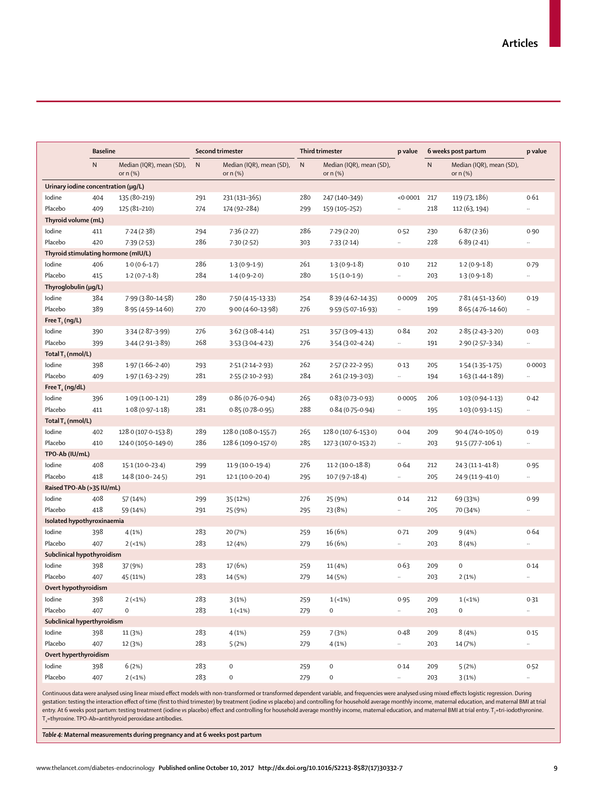| <b>Baseline</b>                     |           |                                        | Second trimester |                                        | <b>Third trimester</b><br>6 weeks post partum<br>p value |                                        |              |           | p value                                |           |
|-------------------------------------|-----------|----------------------------------------|------------------|----------------------------------------|----------------------------------------------------------|----------------------------------------|--------------|-----------|----------------------------------------|-----------|
|                                     | ${\sf N}$ | Median (IQR), mean (SD),<br>or $n$ (%) | $\mathsf{N}$     | Median (IQR), mean (SD),<br>or $n$ $%$ | $\mathsf{N}$                                             | Median (IQR), mean (SD),<br>or $n$ (%) |              | ${\sf N}$ | Median (IQR), mean (SD),<br>or $n$ (%) |           |
| Urinary iodine concentration (µg/L) |           |                                        |                  |                                        |                                                          |                                        |              |           |                                        |           |
| lodine                              | 404       | 135 (80-219)                           | 291              | 231 (131-365)                          | 280                                                      | 247 (140-349)                          | < 0.0001     | 217       | 119 (73, 186)                          | 0.61      |
| Placebo                             | 409       | 125 (81-210)                           | 274              | 174 (92-284)                           | 299                                                      | 159 (105-252)                          | .,           | 218       | 112 (63, 194)                          |           |
| Thyroid volume (mL)                 |           |                                        |                  |                                        |                                                          |                                        |              |           |                                        |           |
| lodine                              | 411       | 7.24(2.38)                             | 294              | 7.36(2.27)                             | 286                                                      | 7.29 (2.20)                            | 0.52         | 230       | 6.87(2.36)                             | 0.90      |
| Placebo                             | 420       | 7.39(2.53)                             | 286              | 7.30(2.52)                             | 303                                                      | 7.33(2.14)                             |              | 228       | 6.89(2.41)                             |           |
| Thyroid stimulating hormone (mIU/L) |           |                                        |                  |                                        |                                                          |                                        |              |           |                                        |           |
| lodine                              | 406       | $1.0(0.6-1.7)$                         | 286              | $1.3(0.9-1.9)$                         | 261                                                      | $1.3(0.9-1.8)$                         | 0.10         | 212       | $1.2(0.9-1.8)$                         | 0.79      |
| Placebo                             | 415       | $1.2(0.7-1.8)$                         | 284              | $1.4(0.9-2.0)$                         | 280                                                      | $1.5(1.0-1.9)$                         | $\ldots$     | 203       | $1.3(0.9-1.8)$                         |           |
| Thyroglobulin (µg/L)                |           |                                        |                  |                                        |                                                          |                                        |              |           |                                        |           |
| lodine                              | 384       | 7.99 (3.80-14.58)                      | 280              | 7.50 (4.15-13.33)                      | 254                                                      | 8-39 (4-62-14-35)                      | 0.0009       | 205       | $7.81(4.51-13.60)$                     | 0.19      |
| Placebo                             | 389       | 8.95 (4.59-14.60)                      | 270              | 9.00 (4.60-13.98)                      | 276                                                      | 9.59 (5.07-16.93)                      |              | 199       | $8.65(4.76 - 14.60)$                   |           |
| Free $T_3$ (ng/L)                   |           |                                        |                  |                                        |                                                          |                                        |              |           |                                        |           |
| lodine                              | 390       | $3.34(2.87 - 3.99)$                    | 276              | $3.62(3.08 - 4.14)$                    | 251                                                      | $3.57(3.09 - 4.13)$                    | 0.84         | 202       | $2.85(2.43 - 3.20)$                    | 0.03      |
| Placebo                             | 399       | $3.44(2.91-3.89)$                      | 268              | $3.53(3.04 - 4.23)$                    | 276                                                      | $3.54(3.02 - 4.24)$                    |              | 191       | 2.90 (2.57-3.34)                       |           |
| Total $T_3$ (nmol/L)                |           |                                        |                  |                                        |                                                          |                                        |              |           |                                        |           |
| lodine                              | 398       | $1.97(1.66 - 2.40)$                    | 293              | $2.51(2.14-2.93)$                      | 262                                                      | $2.57(2.22 - 2.95)$                    | 0.13         | 205       | $1.54(1.35 - 1.75)$                    | 0.0003    |
| Placebo                             | 409       | $1.97(1.63 - 2.29)$                    | 281              | $2.55(2.10-2.93)$                      | 284                                                      | $2.61(2.19-3.03)$                      | $\cdot\cdot$ | 194       | $1.63(1.44 - 1.89)$                    | $\ldots$  |
| Free $T_{4}$ (ng/dL)                |           |                                        |                  |                                        |                                                          |                                        |              |           |                                        |           |
| lodine                              | 396       | $1.09(1.00-1.21)$                      | 289              | $0.86(0.76 - 0.94)$                    | 265                                                      | $0.83(0.73 - 0.93)$                    | 0.0005       | 206       | $1.03(0.94 - 1.13)$                    | 0.42      |
| Placebo                             | 411       | $1.08(0.97 - 1.18)$                    | 281              | $0.85(0.78 - 0.95)$                    | 288                                                      | $0.84(0.75 - 0.94)$                    |              | 195       | $1.03(0.93 - 1.15)$                    | $\ldots$  |
| Total $T_4$ (nmol/L)                |           |                                        |                  |                                        |                                                          |                                        |              |           |                                        |           |
| lodine                              | 402       | 128.0 (107.0-153.8)                    | 289              | 128.0 (108.0-155.7)                    | 265                                                      | 128.0 (107.6-153.0)                    | 0.04         | 209       | 90.4 (74.0-105.0)                      | 0.19      |
| Placebo                             | 410       | 124.0 (105.0-149.0)                    | 286              | 128.6 (109.0-157.0)                    | 285                                                      | 127-3 (107-0-153-2)                    |              | 203       | $91.5(77.7 - 106.1)$                   | $\ldots$  |
| TPO-Ab (IU/mL)                      |           |                                        |                  |                                        |                                                          |                                        |              |           |                                        |           |
| lodine                              | 408       | 15-1 (10-0-23-4)                       | 299              | $11.9(10.0-19.4)$                      | 276                                                      | $11.2(10.0-18.8)$                      | 0.64         | 212       | $24.3(11.1 - 41.8)$                    | 0.95      |
| Placebo                             | 418       | $14.8(10.0 - 24.5)$                    | 291              | $12.1(10.0-20.4)$                      | 295                                                      | $10.7(9.7-18.4)$                       |              | 205       | 24.9 (11.9-41.0)                       |           |
| Raised TPO-Ab (>35 IU/mL)           |           |                                        |                  |                                        |                                                          |                                        |              |           |                                        |           |
| lodine                              | 408       | 57 (14%)                               | 299              | 35 (12%)                               | 276                                                      | 25 (9%)                                | 0.14         | 212       | 69 (33%)                               | 0.99      |
| Placebo                             | 418       | 59 (14%)                               | 291              | 25 (9%)                                | 295                                                      | 23 (8%)                                | $\cdot\cdot$ | 205       | 70 (34%)                               |           |
| Isolated hypothyroxinaemia          |           |                                        |                  |                                        |                                                          |                                        |              |           |                                        |           |
| lodine                              | 398       | 4(1%)                                  | 283              | 20 (7%)                                | 259                                                      | 16 (6%)                                | 0.71         | 209       | 9(4%)                                  | 0.64      |
| Placebo                             | 407       | $2(-1%)$                               | 283              | 12 (4%)                                | 279                                                      | 16 (6%)                                |              | 203       | 8(4%)                                  |           |
| Subclinical hypothyroidism          |           |                                        |                  |                                        |                                                          |                                        |              |           |                                        |           |
| lodine                              | 398       | 37 (9%)                                | 283              | 17 (6%)                                | 259                                                      | 11 (4%)                                | 0.63         | 209       | $\mathbf 0$                            | 0.14      |
| Placebo                             | 407       | 45 (11%)                               | 283              | 14 (5%)                                | 279                                                      | 14 (5%)                                | Ω.           | 203       | 2(1%)                                  |           |
| Overt hypothyroidism                |           |                                        |                  |                                        |                                                          |                                        |              |           |                                        |           |
| lodine                              | 398       | $2(-1%)$                               | 283              | 3(1%)                                  | 259                                                      | $1(-1%)$                               | 0.95         | 209       | $1(-1%)$                               | 0.31      |
| Placebo                             | 407       | $\mathsf{O}\xspace$                    | 283              | $1(-1%)$                               | 279                                                      | $\pmb{0}$                              | н.           | 203       | $\mathsf{O}\xspace$                    |           |
| Subclinical hyperthyroidism         |           |                                        |                  |                                        |                                                          |                                        |              |           |                                        |           |
| lodine                              | 398       | 11 (3%)                                | 283              | 4(1%)                                  | 259                                                      | 7(3%)                                  | 0.48         | 209       | 8(4%)                                  | 0.15      |
| Placebo                             | 407       | 12 (3%)                                | 283              | 5(2%)                                  | 279                                                      | 4(1%)                                  | $\ddotsc$    | 203       | 14 (7%)                                |           |
| Overt hyperthyroidism               |           |                                        |                  |                                        |                                                          |                                        |              |           |                                        |           |
| lodine                              | 398       | 6(2%)                                  | 283              | $\mathsf{O}\xspace$                    | 259                                                      | $\pmb{0}$                              | 0.14         | 209       | 5(2%)                                  | 0.52      |
| Placebo                             | 407       | $2(-1%)$                               | 283              | 0                                      | 279                                                      | $\mathbf 0$                            | $\sim$       | 203       | 3(1%)                                  | $\ddotsc$ |

Continuous data were analysed using linear mixed effect models with non-transformed or transformed dependent variable, and frequencies were analysed using mixed effects logistic regression. During gestation: testing the interaction effect of time (first to third trimester) by treatment (iodine *vs* placebo) and controlling for household average monthly income, maternal education, and maternal BMI at trial entry. At 6 weeks post partum: testing treatment (iodine *vs* placebo) effect and controlling for household average monthly income, maternal education, and maternal BMI at trial entry. T3=tri-iodothyronine.  $T_4$ =thyroxine. TPO-Ab=antithyroid peroxidase antibodies.

*Table 4:* **Maternal measurements during pregnancy and at 6 weeks post partum**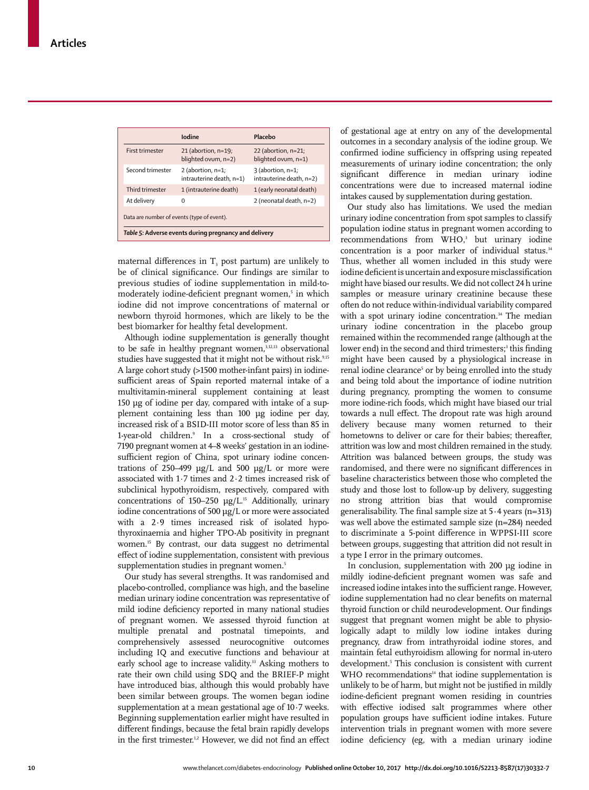|                                                                                                     | Iodine                                           | Placebo                                         |  |  |  |  |
|-----------------------------------------------------------------------------------------------------|--------------------------------------------------|-------------------------------------------------|--|--|--|--|
| <b>First trimester</b>                                                                              | $21$ (abortion, $n=19$ ;<br>blighted ovum, n=2)  | 22 (abortion, $n=21$ ;<br>blighted ovum, n=1)   |  |  |  |  |
| Second trimester                                                                                    | 2 (abortion, $n=1$ ;<br>intrauterine death, n=1) | $3$ (abortion, n=1;<br>intrauterine death, n=2) |  |  |  |  |
| Third trimester                                                                                     | 1 (intrauterine death)                           | 1 (early neonatal death)                        |  |  |  |  |
| At delivery                                                                                         | O                                                | 2 (neonatal death, n=2)                         |  |  |  |  |
| Data are number of events (type of event).<br>Table 5: Adverse events during pregnancy and delivery |                                                  |                                                 |  |  |  |  |

maternal differences in  $T<sub>3</sub>$  post partum) are unlikely to be of clinical significance. Our findings are similar to previous studies of iodine supplementation in mild-tomoderately iodine-deficient pregnant women,<sup>5</sup> in which iodine did not improve concentrations of maternal or newborn thyroid hormones, which are likely to be the best biomarker for healthy fetal development.

Although iodine supplementation is generally thought to be safe in healthy pregnant women,<sup>3,12,13</sup> observational studies have suggested that it might not be without risk.<sup>9,15</sup> A large cohort study (>1500 mother-infant pairs) in iodinesufficient areas of Spain reported maternal intake of a multivitamin-mineral supplement containing at least 150 μg of iodine per day, compared with intake of a supplement containing less than 100 μg iodine per day, increased risk of a BSID-III motor score of less than 85 in 1-year-old children.9 In a cross-sectional study of 7190 pregnant women at 4–8 weeks' gestation in an iodinesufficient region of China, spot urinary iodine concentrations of 250–499 μg/L and 500 μg/L or more were associated with 1·7 times and 2·2 times increased risk of subclinical hypothyroidism, respectively, compared with concentrations of 150–250  $\mu$ g/L.<sup>15</sup> Additionally, urinary iodine concentrations of 500 μg/L or more were associated with a 2·9 times increased risk of isolated hypothyroxinaemia and higher TPO-Ab positivity in pregnant women.15 By contrast, our data suggest no detrimental effect of iodine supplementation, consistent with previous supplementation studies in pregnant women.<sup>5</sup>

Our study has several strengths. It was randomised and placebo-controlled, compliance was high, and the baseline median urinary iodine concentration was representative of mild iodine deficiency reported in many national studies of pregnant women. We assessed thyroid function at multiple prenatal and postnatal timepoints, and comprehensively assessed neurocognitive outcomes including IQ and executive functions and behaviour at early school age to increase validity.<sup>33</sup> Asking mothers to rate their own child using SDQ and the BRIEF-P might have introduced bias, although this would probably have been similar between groups. The women began iodine supplementation at a mean gestational age of 10·7 weeks. Beginning supplementation earlier might have resulted in different findings, because the fetal brain rapidly develops in the first trimester.<sup>1,2</sup> However, we did not find an effect of gestational age at entry on any of the developmental outcomes in a secondary analysis of the iodine group. We confirmed iodine sufficiency in offspring using repeated measurements of urinary iodine concentration; the only significant difference in median urinary iodine concentrations were due to increased maternal iodine intakes caused by supplementation during gestation.

Our study also has limitations. We used the median urinary iodine concentration from spot samples to classify population iodine status in pregnant women according to recommendations from WHO,<sup>3</sup> but urinary iodine concentration is a poor marker of individual status.<sup>34</sup> Thus, whether all women included in this study were iodine deficient is uncertain and exposure misclassification might have biased our results. We did not collect 24 h urine samples or measure urinary creatinine because these often do not reduce within-individual variability compared with a spot urinary iodine concentration.<sup>34</sup> The median urinary iodine concentration in the placebo group remained within the recommended range (although at the lower end) in the second and third trimesters;<sup>3</sup> this finding might have been caused by a physiological increase in renal iodine clearance<sup>5</sup> or by being enrolled into the study and being told about the importance of iodine nutrition during pregnancy, prompting the women to consume more iodine-rich foods, which might have biased our trial towards a null effect. The dropout rate was high around delivery because many women returned to their hometowns to deliver or care for their babies; thereafter, attrition was low and most children remained in the study. Attrition was balanced between groups, the study was randomised, and there were no significant differences in baseline characteristics between those who completed the study and those lost to follow-up by delivery, suggesting no strong attrition bias that would compromise generalisability. The final sample size at 5·4 years (n=313) was well above the estimated sample size (n=284) needed to discriminate a 5-point difference in WPPSI-III score between groups, suggesting that attrition did not result in a type I error in the primary outcomes.

In conclusion, supplementation with 200 μg iodine in mildly iodine-deficient pregnant women was safe and increased iodine intakes into the sufficient range. However, iodine supplementation had no clear benefits on maternal thyroid function or child neurodevelopment. Our findings suggest that pregnant women might be able to physiologically adapt to mildly low iodine intakes during pregnancy, draw from intrathyroidal iodine stores, and maintain fetal euthyroidism allowing for normal in-utero development.<sup>5</sup> This conclusion is consistent with current WHO recommendations<sup>14</sup> that iodine supplementation is unlikely to be of harm, but might not be justified in mildly iodine-deficient pregnant women residing in countries with effective iodised salt programmes where other population groups have sufficient iodine intakes. Future intervention trials in pregnant women with more severe iodine deficiency (eg, with a median urinary iodine